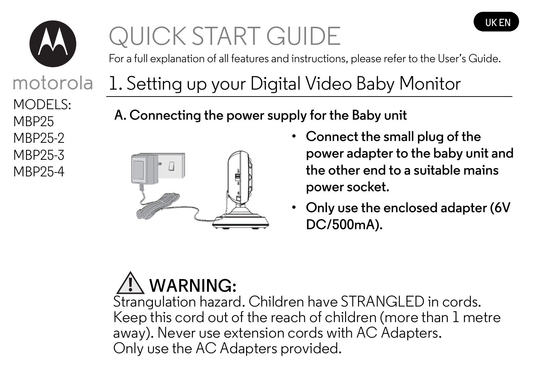

motorola

MBP25-4 MBP25-3 MBP25-2

MODELS: MB<sub>P25</sub>

# QUICK START GUIDE

For a full explanation of all features and instructions, please refer to the User's Guide.

### 1. Setting up your Digital Video Baby Monitor

**A. Connecting the power supply for the Baby unit**



**• Connect the small plug of the power adapter to the baby unit and the other end to a suitable mains power socket.**

**UK EN**

**• Only use the enclosed adapter (6V DC/500mA).**

## **WARNING:**

Strangulation hazard. Children have STRANGLED in cords. Keep this cord out of the reach of children (more than 1 metre away). Never use extension cords with AC Adapters. Only use the AC Adapters provided.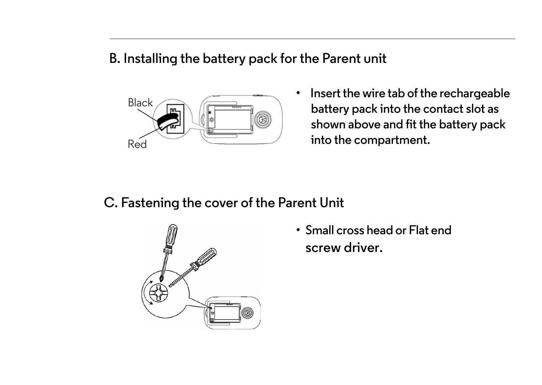#### **B. Installing the battery pack for the Parent unit**



**• Insert the wire tab of the rechargeable battery pack into the contact slot as shown above and fit the battery pack into the compartment.**

#### **C. Fastening the cover of the Parent Unit**



**screw driver. • Small cross head or Flat end**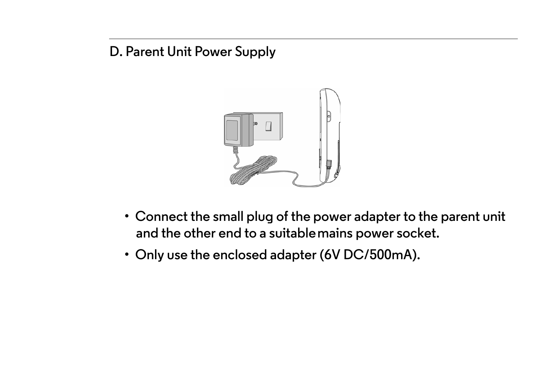#### **D. Parent Unit Power Supply**



- **and the other end to a suitable mains power socket. • Connect the small plug of the power adapter to the parent unit**
- **Only use the enclosed adapter (6V DC/500mA).**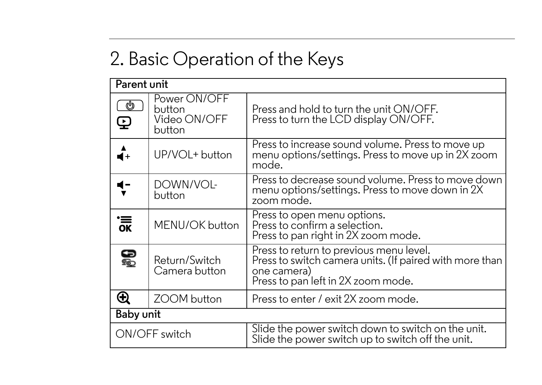### 2. Basic Operation of the Keys

| Parent unit   |                                                  |                                                                                                                                                         |
|---------------|--------------------------------------------------|---------------------------------------------------------------------------------------------------------------------------------------------------------|
| U<br>Q        | Power ON/OFF<br>button<br>Video ON/OFF<br>button | Press and hold to turn the unit $ON/OFF$ .<br>Press to turn the LCD display ON/OFF.                                                                     |
| 4+            | UP/VOL+ button                                   | Press to increase sound volume. Press to move up<br>menu options/settings. Press to move up in 2X zoom<br>mode.                                         |
|               | DOWN/VOL-<br>button                              | Press to decrease sound volume. Press to move down<br>menu options/settings. Press to move down in 2X<br>zoom mode.                                     |
| .<br>Эк       | MENU/OK button                                   | Press to open menu options.<br>Press to confirm a selection.<br>Press to pan right in 2X zoom mode.                                                     |
| <b>e</b>      | Return/Switch<br>Camera button                   | Press to return to previous menu level.<br>Press to switch camera units. (If paired with more than<br>one camera)<br>Press to pan left in 2X zoom mode. |
| ⊕             | ZOOM button                                      | Press to enter / exit 2X zoom mode.                                                                                                                     |
| Baby unit     |                                                  |                                                                                                                                                         |
| ON/OFF switch |                                                  | Slide the power switch down to switch on the unit.<br>Slide the power switch up to switch off the unit.                                                 |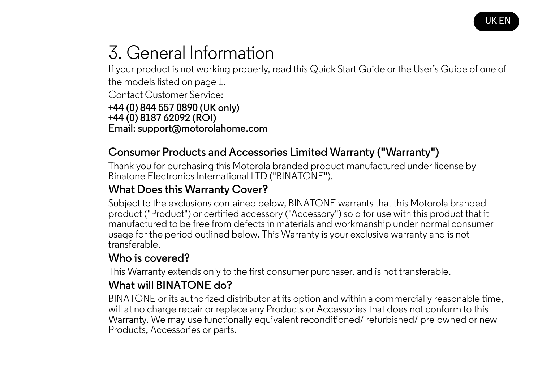

### 3. General Information

If your product is not working properly, read this Quick Start Guide or the User's Guide of one of the models listed on page 1. Contact Customer Service: **+44 (0) 844 557 0890 (UK only) +44 (0) 8187 62092 (ROI) Email: support@motorolahome.com**

#### **Consumer Products and Accessories Limited Warranty ("Warranty")**

Thank you for purchasing this Motorola branded product manufactured under license by Binatone Electronics International LTD ("BINATONE").

#### **What Does this Warranty Cover?**

Subject to the exclusions contained below, BINATONE warrants that this Motorola branded product ("Product") or certified accessory ("Accessory") sold for use with this product that it manufactured to be free from defects in materials and workmanship under normal consumer usage for the period outlined below. This Warranty is your exclusive warranty and is not transferable.

#### **Who is covered?**

This Warranty extends only to the first consumer purchaser, and is not transferable.

#### **What will BINATONE do?**

BINATONE or its authorized distributor at its option and within a commercially reasonable time, will at no charge repair or replace any Products or Accessories that does not conform to this Warranty. We may use functionally equivalent reconditioned/ refurbished/ pre-owned or new Products, Accessories or parts.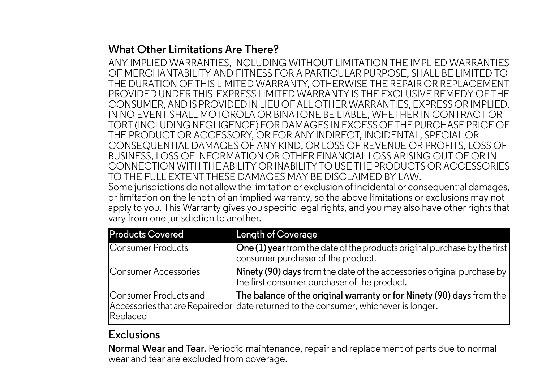#### **What Other Limitations Are There?**

ANY IMPLIED WARRANTIES, INCLUDING WITHOUT LIMITATION THE IMPLIED WARRANTIES OF MERCHANTABILITY AND FITNESS FOR A PARTICULAR PURPOSE, SHALL BE LIMITED TO THE DURATION OF THIS LIMITED WARRANTY, OTHERWISE THE REPAIR OR REPLACEMENT PROVIDED UNDER THIS EXPRESS LIMITED WARRANTY IS THE EXCLUSIVE REMEDY OF THE CONSUMER, AND IS PROVIDED IN LIEU OF ALL OTHER WARRANTIES, EXPRESS OR IMPLIED. IN NO EVENT SHALL MOTOROLA OR BINATONE BE LIABLE, WHETHER IN CONTRACT OR TORT (INCLUDING NEGLIGENCE) FOR DAMAGES IN EXCESS OF THE PURCHASE PRICE OF THE PRODUCT OR ACCESSORY, OR FOR ANY INDIRECT, INCIDENTAL, SPECIAL OR CONSEQUENTIAL DAMAGES OF ANY KIND, OR LOSS OF REVENUE OR PROFITS, LOSS OF BUSINESS, LOSS OF INFORMATION OR OTHER FINANCIAL LOSS ARISING OUT OF OR IN CONNECTION WITH THE ABILITY OR INABILITY TO USE THE PRODUCTS OR ACCESSORIES TO THE FULL EXTENT THESE DAMAGES MAY BE DISCLAIMED BY LAW. Some jurisdictions do not allow the limitation or exclusion of incidental or consequential damages, or limitation on the length of an implied warranty, so the above limitations or exclusions may not apply to you. This Warranty gives you specific legal rights, and you may also have other rights that vary from one jurisdiction to another.

| <b>Products Covered</b>           | Length of Coverage                                                                                                                                            |
|-----------------------------------|---------------------------------------------------------------------------------------------------------------------------------------------------------------|
| Consumer Products                 | One (1) year from the date of the products original purchase by the first<br>consumer purchaser of the product.                                               |
| Consumer Accessories              | Ninety (90) days from the date of the accessories original purchase by<br>the first consumer purchaser of the product.                                        |
| Consumer Products and<br>Replaced | The balance of the original warranty or for Ninety (90) days from the<br>Accessories that are Repaired or date returned to the consumer, whichever is longer. |

#### **Exclusions**

**Normal Wear and Tear.** Periodic maintenance, repair and replacement of parts due to normal wear and tear are excluded from coverage.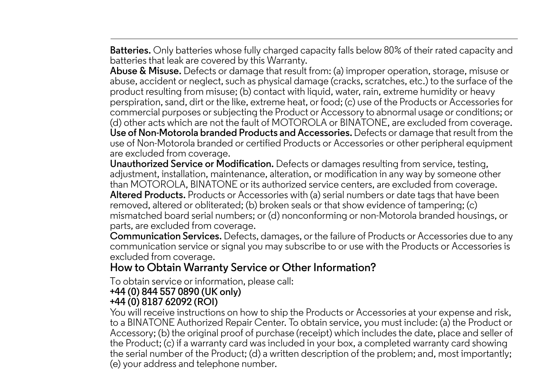**Batteries.** Only batteries whose fully charged capacity falls below 80% of their rated capacity and batteries that leak are covered by this Warranty.

**Abuse & Misuse.** Defects or damage that result from: (a) improper operation, storage, misuse or abuse, accident or neglect, such as physical damage (cracks, scratches, etc.) to the surface of the product resulting from misuse; (b) contact with liquid, water, rain, extreme humidity or heavy perspiration, sand, dirt or the like, extreme heat, or food; (c) use of the Products or Accessories for commercial purposes or subjecting the Product or Accessory to abnormal usage or conditions; or (d) other acts which are not the fault of MOTOROLA or BINATONE, are excluded from coverage. **Use of Non-Motorola branded Products and Accessories.** Defects or damage that result from the use of Non-Motorola branded or certified Products or Accessories or other peripheral equipment are excluded from coverage.

**Unauthorized Service or Modification.** Defects or damages resulting from service, testing, adjustment, installation, maintenance, alteration, or modification in any way by someone other than MOTOROLA, BINATONE or its authorized service centers, are excluded from coverage. **Altered Products.** Products or Accessories with (a) serial numbers or date tags that have been removed, altered or obliterated; (b) broken seals or that show evidence of tampering; (c) mismatched board serial numbers; or (d) nonconforming or non-Motorola branded housings, or parts, are excluded from coverage.

**Communication Services.** Defects, damages, or the failure of Products or Accessories due to any communication service or signal you may subscribe to or use with the Products or Accessories is excluded from coverage.

#### **How to Obtain Warranty Service or Other Information?**

To obtain service or information, please call:

#### **+44 (0) 844 557 0890 (UK only)**

#### **+44 (0) 8187 62092 (ROI)**

You will receive instructions on how to ship the Products or Accessories at your expense and risk, to a BINATONE Authorized Repair Center. To obtain service, you must include: (a) the Product or Accessory; (b) the original proof of purchase (receipt) which includes the date, place and seller of the Product; (c) if a warranty card was included in your box, a completed warranty card showing the serial number of the Product; (d) a written description of the problem; and, most importantly; (e) your address and telephone number.